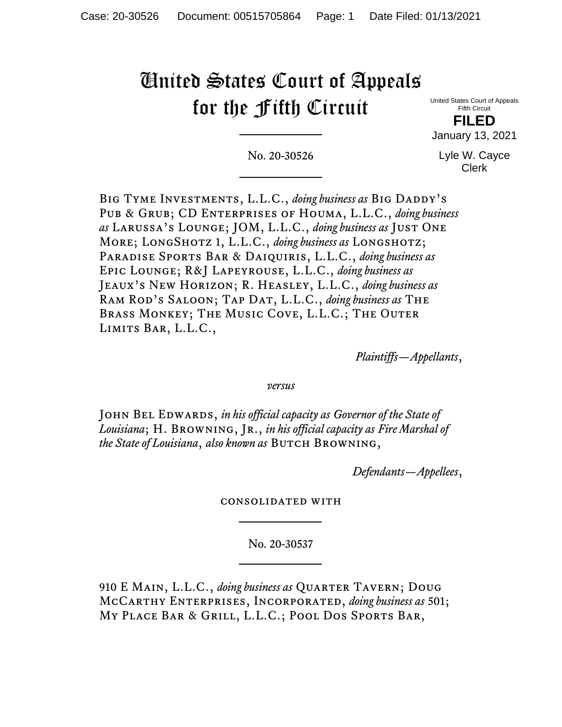# United States Court of Appeals for the Fifth Circuit

United States Court of Appeals Fifth Circuit

**FILED** January 13, 2021

No. 20-30526

Lyle W. Cayce Clerk

BIG TYME INVESTMENTS, L.L.C., *doing business as* BIG DADDY'S Pub & Grub; CD Enterprises of Houma, L.L.C., *doing business as* Larussa's Lounge; JOM, L.L.C., *doing business as* Just One More; LongShotz 1, L.L.C., *doing business as* Longshotz; Paradise Sports Bar & Daiquiris, L.L.C., *doing business as* Epic Lounge; R&J Lapeyrouse, L.L.C., *doing business as* Jeaux's New Horizon; R. Heasley, L.L.C., *doing business as* Ram Rod's Saloon; Tap Dat, L.L.C., *doing business as* The Brass Monkey; The Music Cove, L.L.C.; The Outer Limits Bar, L.L.C.,

*Plaintiffs—Appellants*,

*versus*

John Bel Edwards, *in his official capacity as Governor of the State of Louisiana*; H. Browning, Jr., *in his official capacity as Fire Marshal of the State of Louisiana*, *also known as* Butch Browning,

*Defendants—Appellees*,

consolidated with

No. 20-30537

910 E Main, L.L.C., *doing business as* Quarter Tavern; Doug McCarthy Enterprises, Incorporated, *doing business as* 501; My Place Bar & Grill, L.L.C.; Pool Dos Sports Bar,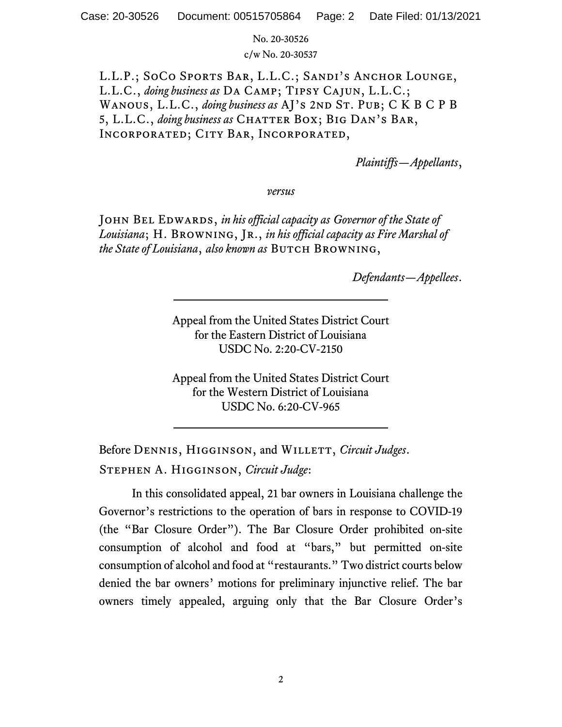No. 20-30526

c/w No. 20-30537

L.L.P.; SoCo Sports Bar, L.L.C.; Sandi's Anchor Lounge, L.L.C., *doing business as* Da Camp; Tipsy Cajun, L.L.C.; WANOUS, L.L.C., *doing business as* AJ's 2ND ST. PUB; C K B C P B 5, L.L.C., *doing business as* CHATTER BOX; BIG DAN'S BAR, Incorporated; City Bar, Incorporated,

*Plaintiffs—Appellants*,

*versus*

John Bel Edwards, *in his official capacity as Governor of the State of Louisiana*; H. Browning, Jr., *in his official capacity as Fire Marshal of the State of Louisiana, also known as* BUTCH BROWNING,

*Defendants—Appellees*.

Appeal from the United States District Court for the Eastern District of Louisiana USDC No. 2:20-CV-2150

Appeal from the United States District Court for the Western District of Louisiana USDC No. 6:20-CV-965

Before DENNIS, HIGGINSON, and WILLETT, *Circuit Judges*. Stephen A. Higginson, *Circuit Judge*:

In this consolidated appeal, 21 bar owners in Louisiana challenge the Governor's restrictions to the operation of bars in response to COVID-19 (the "Bar Closure Order"). The Bar Closure Order prohibited on-site consumption of alcohol and food at "bars," but permitted on-site consumption of alcohol and food at "restaurants." Two district courts below denied the bar owners' motions for preliminary injunctive relief. The bar owners timely appealed, arguing only that the Bar Closure Order's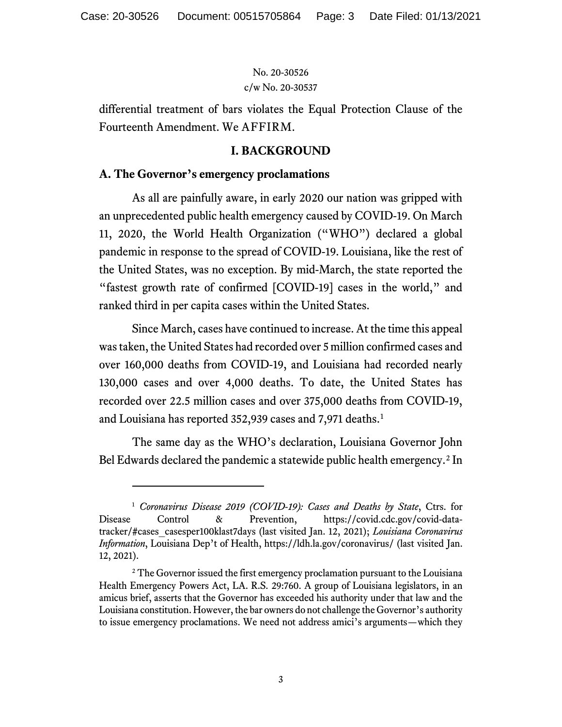differential treatment of bars violates the Equal Protection Clause of the Fourteenth Amendment. We AFFIRM.

#### **I. BACKGROUND**

#### **A. The Governor's emergency proclamations**

As all are painfully aware, in early 2020 our nation was gripped with an unprecedented public health emergency caused by COVID-19. On March 11, 2020, the World Health Organization ("WHO") declared a global pandemic in response to the spread of COVID-19. Louisiana, like the rest of the United States, was no exception. By mid-March, the state reported the "fastest growth rate of confirmed [COVID-19] cases in the world," and ranked third in per capita cases within the United States.

Since March, cases have continued to increase. At the time this appeal was taken, the United States had recorded over 5 million confirmed cases and over 160,000 deaths from COVID-19, and Louisiana had recorded nearly 130,000 cases and over 4,000 deaths. To date, the United States has recorded over 22.5 million cases and over 375,000 deaths from COVID-19, and Louisiana has reported 352,939 cases and 7,971 deaths. [1](#page-2-0)

The same day as the WHO's declaration, Louisiana Governor John Bel Edwards declared the pandemic a statewide public health emergency.<sup>[2](#page-2-1)</sup> In

<span id="page-2-0"></span><sup>1</sup> *Coronavirus Disease 2019 (COVID-19): Cases and Deaths by State*, Ctrs. for Disease Control & Prevention, https://covid.cdc.gov/covid-datatracker/#cases\_casesper100klast7days (last visited Jan. 12, 2021); *Louisiana Coronavirus Information*, Louisiana Dep't of Health, https://ldh.la.gov/coronavirus/ (last visited Jan. 12, 2021).

<span id="page-2-1"></span><sup>&</sup>lt;sup>2</sup> The Governor issued the first emergency proclamation pursuant to the Louisiana Health Emergency Powers Act, LA. R.S. 29:760. A group of Louisiana legislators, in an amicus brief, asserts that the Governor has exceeded his authority under that law and the Louisiana constitution. However, the bar owners do not challenge the Governor's authority to issue emergency proclamations. We need not address amici's arguments—which they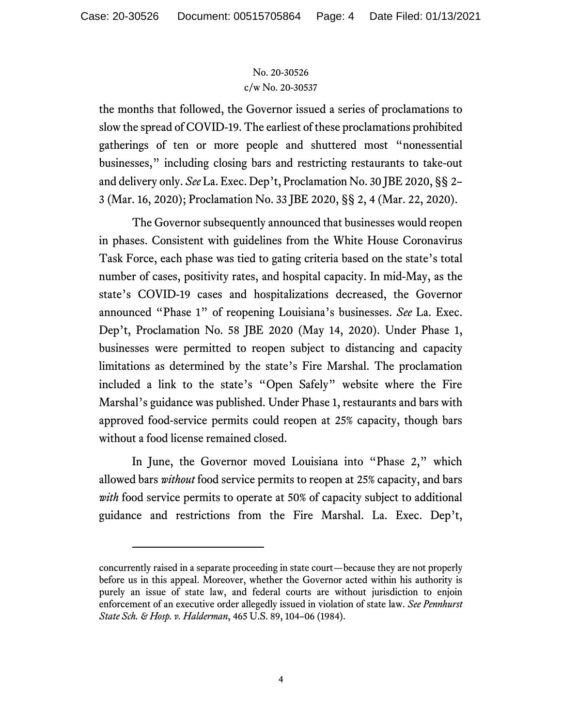the months that followed, the Governor issued a series of proclamations to slow the spread of COVID-19. The earliest of these proclamations prohibited gatherings of ten or more people and shuttered most "nonessential businesses," including closing bars and restricting restaurants to take-out and delivery only. *See* La. Exec. Dep't, Proclamation No. 30 JBE 2020, §§ 2– 3 (Mar. 16, 2020); Proclamation No. 33 JBE 2020, §§ 2, 4 (Mar. 22, 2020).

The Governor subsequently announced that businesses would reopen in phases. Consistent with guidelines from the White House Coronavirus Task Force, each phase was tied to gating criteria based on the state's total number of cases, positivity rates, and hospital capacity. In mid-May, as the state's COVID-19 cases and hospitalizations decreased, the Governor announced "Phase 1" of reopening Louisiana's businesses. *See* La. Exec. Dep't, Proclamation No. 58 JBE 2020 (May 14, 2020). Under Phase 1, businesses were permitted to reopen subject to distancing and capacity limitations as determined by the state's Fire Marshal. The proclamation included a link to the state's "Open Safely" website where the Fire Marshal's guidance was published. Under Phase 1, restaurants and bars with approved food-service permits could reopen at 25% capacity, though bars without a food license remained closed.

In June, the Governor moved Louisiana into "Phase 2," which allowed bars *without* food service permits to reopen at 25% capacity, and bars *with* food service permits to operate at 50% of capacity subject to additional guidance and restrictions from the Fire Marshal. La. Exec. Dep't,

concurrently raised in a separate proceeding in state court—because they are not properly before us in this appeal. Moreover, whether the Governor acted within his authority is purely an issue of state law, and federal courts are without jurisdiction to enjoin enforcement of an executive order allegedly issued in violation of state law. *See Pennhurst State Sch. & Hosp. v. Halderman*, 465 U.S. 89, 104–06 (1984).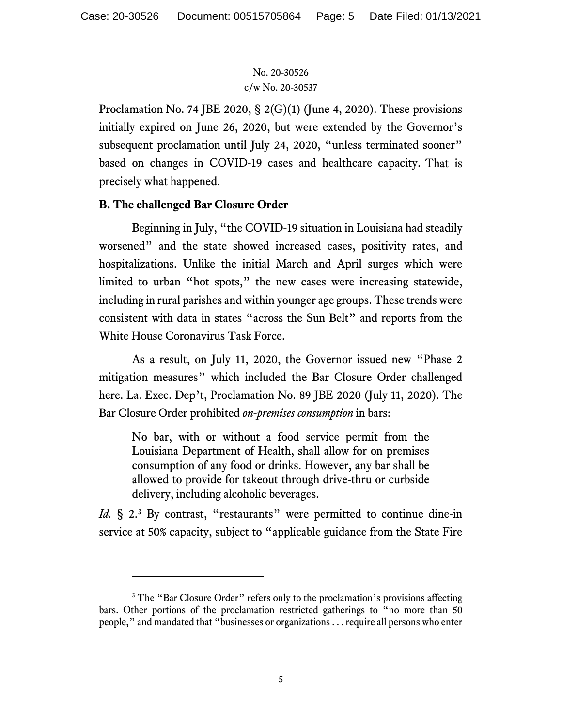Proclamation No. 74 JBE 2020, § 2(G)(1) (June 4, 2020). These provisions initially expired on June 26, 2020, but were extended by the Governor's subsequent proclamation until July 24, 2020, "unless terminated sooner" based on changes in COVID-19 cases and healthcare capacity. That is precisely what happened.

# **B. The challenged Bar Closure Order**

Beginning in July, "the COVID-19 situation in Louisiana had steadily worsened" and the state showed increased cases, positivity rates, and hospitalizations. Unlike the initial March and April surges which were limited to urban "hot spots," the new cases were increasing statewide, including in rural parishes and within younger age groups. These trends were consistent with data in states "across the Sun Belt" and reports from the White House Coronavirus Task Force.

As a result, on July 11, 2020, the Governor issued new "Phase 2 mitigation measures" which included the Bar Closure Order challenged here. La. Exec. Dep't, Proclamation No. 89 JBE 2020 (July 11, 2020). The Bar Closure Order prohibited *on-premises consumption* in bars:

No bar, with or without a food service permit from the Louisiana Department of Health, shall allow for on premises consumption of any food or drinks. However, any bar shall be allowed to provide for takeout through drive-thru or curbside delivery, including alcoholic beverages.

Id. § 2.<sup>[3](#page-4-0)</sup> By contrast, "restaurants" were permitted to continue dine-in service at 50% capacity, subject to "applicable guidance from the State Fire

<span id="page-4-0"></span><sup>&</sup>lt;sup>3</sup> The "Bar Closure Order" refers only to the proclamation's provisions affecting bars. Other portions of the proclamation restricted gatherings to "no more than 50 people," and mandated that "businesses or organizations . . . require all persons who enter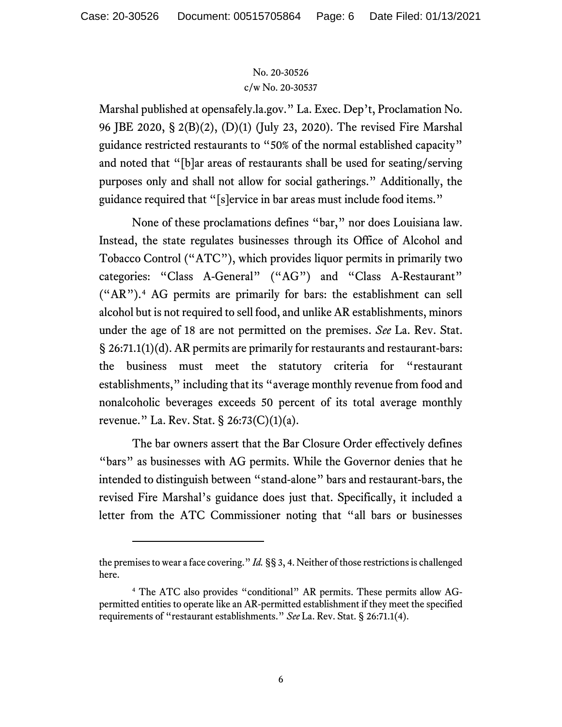Marshal published at opensafely.la.gov." La. Exec. Dep't, Proclamation No. 96 JBE 2020, § 2(B)(2), (D)(1) (July 23, 2020). The revised Fire Marshal guidance restricted restaurants to "50% of the normal established capacity" and noted that "[b]ar areas of restaurants shall be used for seating/serving purposes only and shall not allow for social gatherings." Additionally, the guidance required that "[s]ervice in bar areas must include food items."

None of these proclamations defines "bar," nor does Louisiana law. Instead, the state regulates businesses through its Office of Alcohol and Tobacco Control ("ATC"), which provides liquor permits in primarily two categories: "Class A-General" ("AG") and "Class A-Restaurant" ("AR").[4](#page-5-0) AG permits are primarily for bars: the establishment can sell alcohol but is not required to sell food, and unlike AR establishments, minors under the age of 18 are not permitted on the premises. *See* La. Rev. Stat. § 26:71.1(1)(d). AR permits are primarily for restaurants and restaurant-bars: the business must meet the statutory criteria for "restaurant establishments," including that its "average monthly revenue from food and nonalcoholic beverages exceeds 50 percent of its total average monthly revenue." La. Rev. Stat. § 26:73(C)(1)(a).

The bar owners assert that the Bar Closure Order effectively defines "bars" as businesses with AG permits. While the Governor denies that he intended to distinguish between "stand-alone" bars and restaurant-bars, the revised Fire Marshal's guidance does just that. Specifically, it included a letter from the ATC Commissioner noting that "all bars or businesses

the premises to wear a face covering." *Id.* §§ 3, 4. Neither of those restrictions is challenged here.

<span id="page-5-0"></span><sup>4</sup> The ATC also provides "conditional" AR permits. These permits allow AGpermitted entities to operate like an AR-permitted establishment if they meet the specified requirements of "restaurant establishments." *See* La. Rev. Stat. § 26:71.1(4).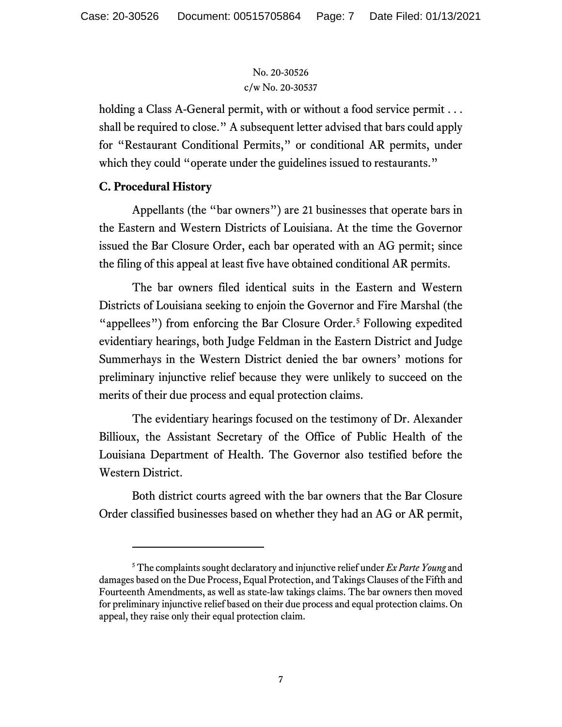holding a Class A-General permit, with or without a food service permit ... shall be required to close." A subsequent letter advised that bars could apply for "Restaurant Conditional Permits," or conditional AR permits, under which they could "operate under the guidelines issued to restaurants."

# **C. Procedural History**

Appellants (the "bar owners") are 21 businesses that operate bars in the Eastern and Western Districts of Louisiana. At the time the Governor issued the Bar Closure Order, each bar operated with an AG permit; since the filing of this appeal at least five have obtained conditional AR permits.

The bar owners filed identical suits in the Eastern and Western Districts of Louisiana seeking to enjoin the Governor and Fire Marshal (the "appellees") from enforcing the Bar Closure Order.<sup>[5](#page-6-0)</sup> Following expedited evidentiary hearings, both Judge Feldman in the Eastern District and Judge Summerhays in the Western District denied the bar owners' motions for preliminary injunctive relief because they were unlikely to succeed on the merits of their due process and equal protection claims.

The evidentiary hearings focused on the testimony of Dr. Alexander Billioux, the Assistant Secretary of the Office of Public Health of the Louisiana Department of Health. The Governor also testified before the Western District.

Both district courts agreed with the bar owners that the Bar Closure Order classified businesses based on whether they had an AG or AR permit,

<span id="page-6-0"></span><sup>5</sup> The complaints sought declaratory and injunctive relief under *Ex Parte Young* and damages based on the Due Process, Equal Protection, and Takings Clauses of the Fifth and Fourteenth Amendments, as well as state-law takings claims. The bar owners then moved for preliminary injunctive relief based on their due process and equal protection claims. On appeal, they raise only their equal protection claim.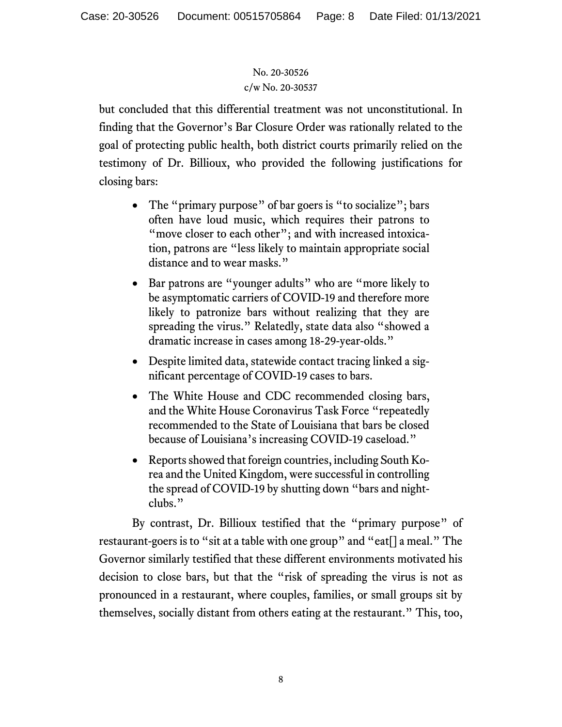but concluded that this differential treatment was not unconstitutional. In finding that the Governor's Bar Closure Order was rationally related to the goal of protecting public health, both district courts primarily relied on the testimony of Dr. Billioux, who provided the following justifications for closing bars:

- The "primary purpose" of bar goers is "to socialize"; bars often have loud music, which requires their patrons to "move closer to each other"; and with increased intoxication, patrons are "less likely to maintain appropriate social distance and to wear masks."
- Bar patrons are "younger adults" who are "more likely to be asymptomatic carriers of COVID-19 and therefore more likely to patronize bars without realizing that they are spreading the virus." Relatedly, state data also "showed a dramatic increase in cases among 18-29-year-olds."
- Despite limited data, statewide contact tracing linked a significant percentage of COVID-19 cases to bars.
- The White House and CDC recommended closing bars, and the White House Coronavirus Task Force "repeatedly recommended to the State of Louisiana that bars be closed because of Louisiana's increasing COVID-19 caseload."
- Reports showed that foreign countries, including South Korea and the United Kingdom, were successful in controlling the spread of COVID-19 by shutting down "bars and nightclubs."

By contrast, Dr. Billioux testified that the "primary purpose" of restaurant-goers is to "sit at a table with one group" and "eat[] a meal." The Governor similarly testified that these different environments motivated his decision to close bars, but that the "risk of spreading the virus is not as pronounced in a restaurant, where couples, families, or small groups sit by themselves, socially distant from others eating at the restaurant." This, too,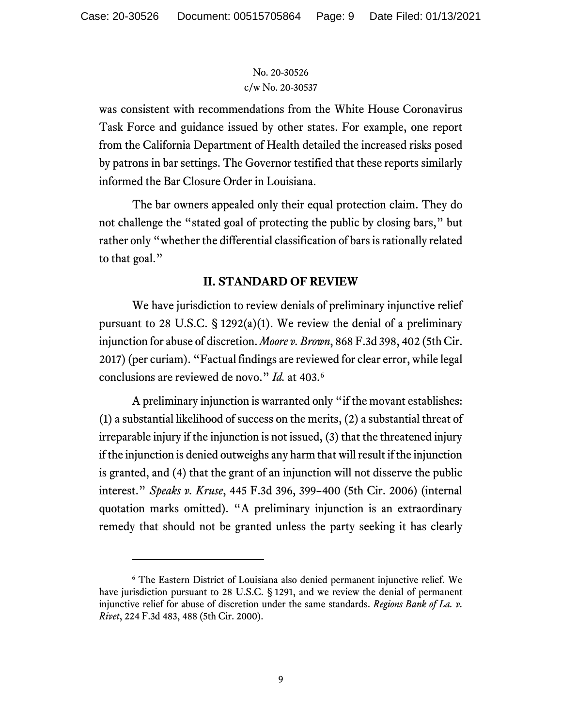was consistent with recommendations from the White House Coronavirus Task Force and guidance issued by other states. For example, one report from the California Department of Health detailed the increased risks posed by patrons in bar settings. The Governor testified that these reports similarly informed the Bar Closure Order in Louisiana.

The bar owners appealed only their equal protection claim. They do not challenge the "stated goal of protecting the public by closing bars," but rather only "whether the differential classification of bars is rationally related to that goal."

# **II. STANDARD OF REVIEW**

We have jurisdiction to review denials of preliminary injunctive relief pursuant to 28 U.S.C.  $\S$  1292(a)(1). We review the denial of a preliminary injunction for abuse of discretion. *Moore v. Brown*, 868 F.3d 398, 402 (5th Cir. 2017) (per curiam). "Factual findings are reviewed for clear error, while legal conclusions are reviewed de novo." *Id.* at 403.[6](#page-8-0)

A preliminary injunction is warranted only "if the movant establishes: (1) a substantial likelihood of success on the merits, (2) a substantial threat of irreparable injury if the injunction is not issued, (3) that the threatened injury if the injunction is denied outweighs any harm that will result if the injunction is granted, and (4) that the grant of an injunction will not disserve the public interest." *Speaks v. Kruse*, 445 F.3d 396, 399–400 (5th Cir. 2006) (internal quotation marks omitted). "A preliminary injunction is an extraordinary remedy that should not be granted unless the party seeking it has clearly

<span id="page-8-0"></span><sup>6</sup> The Eastern District of Louisiana also denied permanent injunctive relief. We have jurisdiction pursuant to 28 U.S.C. § 1291, and we review the denial of permanent injunctive relief for abuse of discretion under the same standards. *Regions Bank of La. v. Rivet*, 224 F.3d 483, 488 (5th Cir. 2000).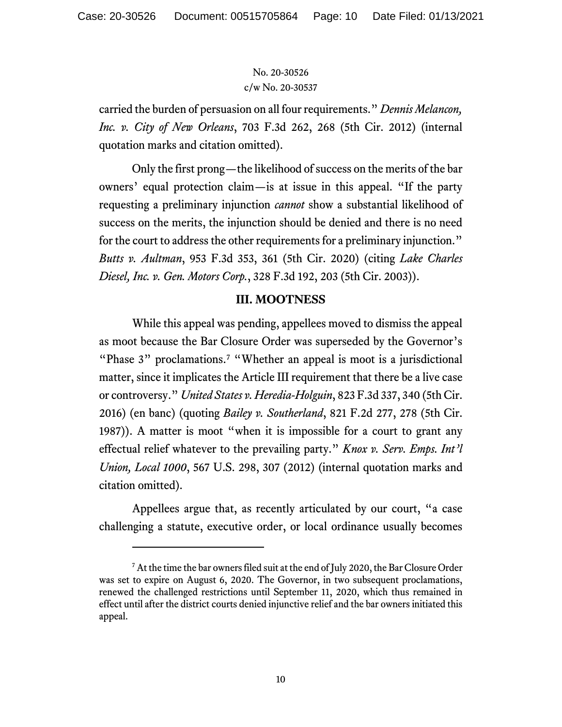carried the burden of persuasion on all four requirements." *Dennis Melancon, Inc. v. City of New Orleans*, 703 F.3d 262, 268 (5th Cir. 2012) (internal quotation marks and citation omitted).

Only the first prong—the likelihood of success on the merits of the bar owners' equal protection claim—is at issue in this appeal. "If the party requesting a preliminary injunction *cannot* show a substantial likelihood of success on the merits, the injunction should be denied and there is no need for the court to address the other requirements for a preliminary injunction." *Butts v. Aultman*, 953 F.3d 353, 361 (5th Cir. 2020) (citing *Lake Charles Diesel, Inc. v. Gen. Motors Corp.*, 328 F.3d 192, 203 (5th Cir. 2003)).

### **III. MOOTNESS**

While this appeal was pending, appellees moved to dismiss the appeal as moot because the Bar Closure Order was superseded by the Governor's "Phase 3" proclamations.<sup>[7](#page-9-0)</sup> "Whether an appeal is moot is a jurisdictional matter, since it implicates the Article III requirement that there be a live case or controversy." *United States v. Heredia-Holguin*, 823 F.3d 337, 340 (5th Cir. 2016) (en banc) (quoting *Bailey v. Southerland*, 821 F.2d 277, 278 (5th Cir. 1987)). A matter is moot "when it is impossible for a court to grant any effectual relief whatever to the prevailing party." *Knox v. Serv. Emps. Int'l Union, Local 1000*, 567 U.S. 298, 307 (2012) (internal quotation marks and citation omitted).

Appellees argue that, as recently articulated by our court, "a case challenging a statute, executive order, or local ordinance usually becomes

<span id="page-9-0"></span><sup>&</sup>lt;sup>7</sup> At the time the bar owners filed suit at the end of July 2020, the Bar Closure Order was set to expire on August 6, 2020. The Governor, in two subsequent proclamations, renewed the challenged restrictions until September 11, 2020, which thus remained in effect until after the district courts denied injunctive relief and the bar owners initiated this appeal.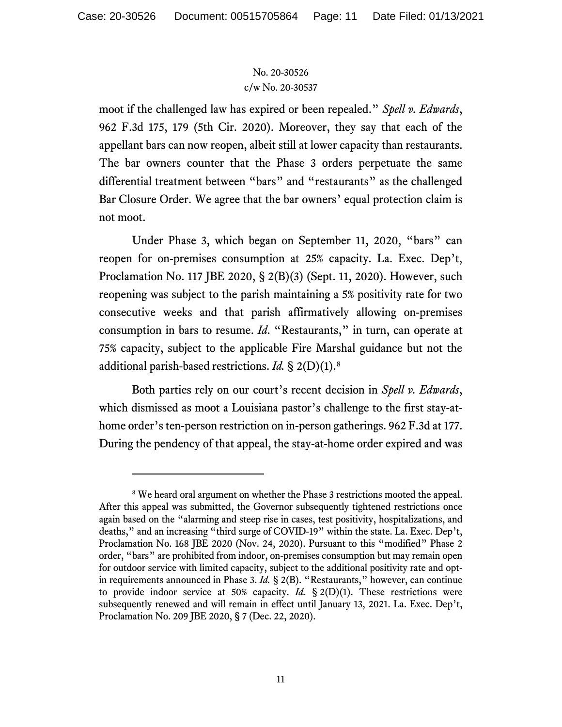moot if the challenged law has expired or been repealed." *Spell v. Edwards*, 962 F.3d 175, 179 (5th Cir. 2020). Moreover, they say that each of the appellant bars can now reopen, albeit still at lower capacity than restaurants. The bar owners counter that the Phase 3 orders perpetuate the same differential treatment between "bars" and "restaurants" as the challenged Bar Closure Order. We agree that the bar owners' equal protection claim is not moot.

Under Phase 3, which began on September 11, 2020, "bars" can reopen for on-premises consumption at 25% capacity. La. Exec. Dep't, Proclamation No. 117 JBE 2020, § 2(B)(3) (Sept. 11, 2020). However, such reopening was subject to the parish maintaining a 5% positivity rate for two consecutive weeks and that parish affirmatively allowing on-premises consumption in bars to resume. *Id*. "Restaurants," in turn, can operate at 75% capacity, subject to the applicable Fire Marshal guidance but not the additional parish-based restrictions. *Id.* § 2(D)(1).[8](#page-10-0)

Both parties rely on our court's recent decision in *Spell v. Edwards*, which dismissed as moot a Louisiana pastor's challenge to the first stay-athome order's ten-person restriction on in-person gatherings. 962 F.3d at 177. During the pendency of that appeal, the stay-at-home order expired and was

<span id="page-10-0"></span><sup>&</sup>lt;sup>8</sup> We heard oral argument on whether the Phase 3 restrictions mooted the appeal. After this appeal was submitted, the Governor subsequently tightened restrictions once again based on the "alarming and steep rise in cases, test positivity, hospitalizations, and deaths," and an increasing "third surge of COVID-19" within the state. La. Exec. Dep't, Proclamation No. 168 JBE 2020 (Nov. 24, 2020). Pursuant to this "modified" Phase 2 order, "bars" are prohibited from indoor, on-premises consumption but may remain open for outdoor service with limited capacity, subject to the additional positivity rate and optin requirements announced in Phase 3. *Id.* § 2(B). "Restaurants," however, can continue to provide indoor service at 50% capacity. *Id.* § 2(D)(1). These restrictions were subsequently renewed and will remain in effect until January 13, 2021. La. Exec. Dep't, Proclamation No. 209 JBE 2020, § 7 (Dec. 22, 2020).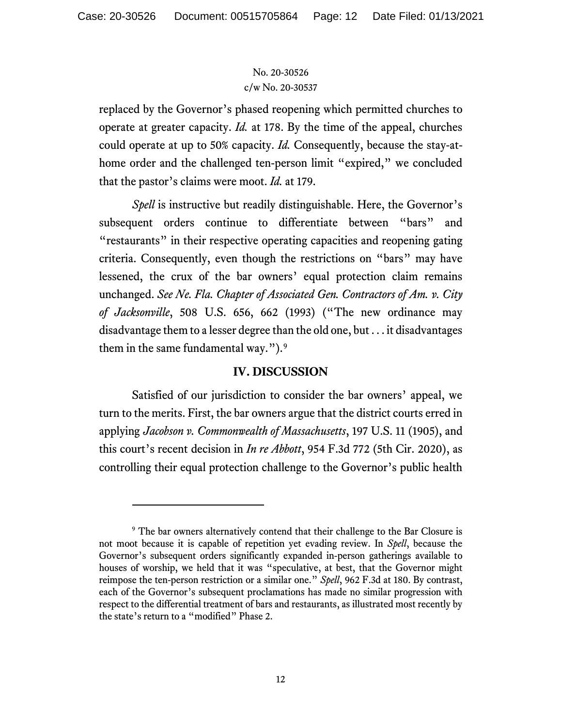replaced by the Governor's phased reopening which permitted churches to operate at greater capacity. *Id.* at 178. By the time of the appeal, churches could operate at up to 50% capacity. *Id.* Consequently, because the stay-athome order and the challenged ten-person limit "expired," we concluded that the pastor's claims were moot. *Id.* at 179.

*Spell* is instructive but readily distinguishable. Here, the Governor's subsequent orders continue to differentiate between "bars" and "restaurants" in their respective operating capacities and reopening gating criteria. Consequently, even though the restrictions on "bars" may have lessened, the crux of the bar owners' equal protection claim remains unchanged. *See Ne. Fla. Chapter of Associated Gen. Contractors of Am. v. City of Jacksonville*, 508 U.S. 656, 662 (1993) ("The new ordinance may disadvantage them to a lesser degree than the old one, but . . . it disadvantages them in the same fundamental way."). $9$ 

# **IV. DISCUSSION**

Satisfied of our jurisdiction to consider the bar owners' appeal, we turn to the merits. First, the bar owners argue that the district courts erred in applying *Jacobson v. Commonwealth of Massachusetts*, 197 U.S. 11 (1905), and this court's recent decision in *In re Abbott*, 954 F.3d 772 (5th Cir. 2020), as controlling their equal protection challenge to the Governor's public health

<span id="page-11-0"></span><sup>&</sup>lt;sup>9</sup> The bar owners alternatively contend that their challenge to the Bar Closure is not moot because it is capable of repetition yet evading review. In *Spell*, because the Governor's subsequent orders significantly expanded in-person gatherings available to houses of worship, we held that it was "speculative, at best, that the Governor might reimpose the ten-person restriction or a similar one." *Spell*, 962 F.3d at 180. By contrast, each of the Governor's subsequent proclamations has made no similar progression with respect to the differential treatment of bars and restaurants, as illustrated most recently by the state's return to a "modified" Phase 2.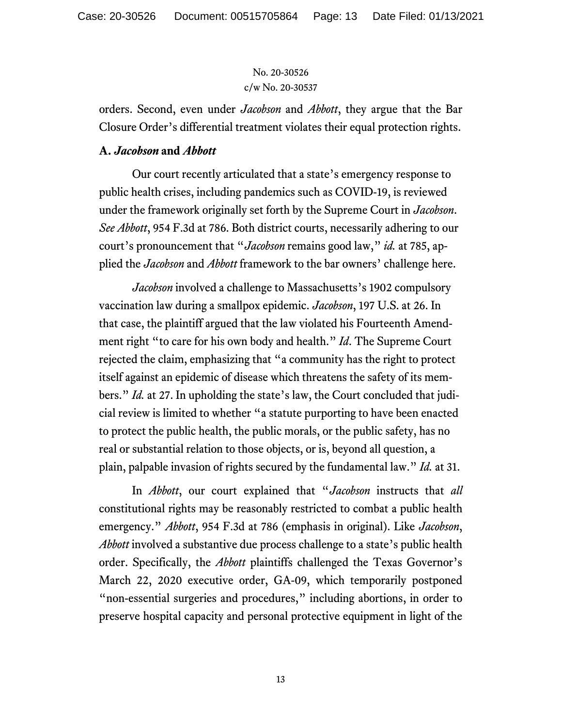orders. Second, even under *Jacobson* and *Abbott*, they argue that the Bar Closure Order's differential treatment violates their equal protection rights.

#### **A.** *Jacobson* **and** *Abbott*

Our court recently articulated that a state's emergency response to public health crises, including pandemics such as COVID-19, is reviewed under the framework originally set forth by the Supreme Court in *Jacobson*. *See Abbott*, 954 F.3d at 786. Both district courts, necessarily adhering to our court's pronouncement that "*Jacobson* remains good law," *id.* at 785, applied the *Jacobson* and *Abbott* framework to the bar owners' challenge here.

*Jacobson* involved a challenge to Massachusetts's 1902 compulsory vaccination law during a smallpox epidemic. *Jacobson*, 197 U.S. at 26. In that case, the plaintiff argued that the law violated his Fourteenth Amendment right "to care for his own body and health." *Id*. The Supreme Court rejected the claim, emphasizing that "a community has the right to protect itself against an epidemic of disease which threatens the safety of its members." *Id.* at 27. In upholding the state's law, the Court concluded that judicial review is limited to whether "a statute purporting to have been enacted to protect the public health, the public morals, or the public safety, has no real or substantial relation to those objects, or is, beyond all question, a plain, palpable invasion of rights secured by the fundamental law." *Id.* at 31.

In *Abbott*, our court explained that "*Jacobson* instructs that *all*  constitutional rights may be reasonably restricted to combat a public health emergency." *Abbott*, 954 F.3d at 786 (emphasis in original). Like *Jacobson*, *Abbott* involved a substantive due process challenge to a state's public health order. Specifically, the *Abbott* plaintiffs challenged the Texas Governor's March 22, 2020 executive order, GA-09, which temporarily postponed "non-essential surgeries and procedures," including abortions, in order to preserve hospital capacity and personal protective equipment in light of the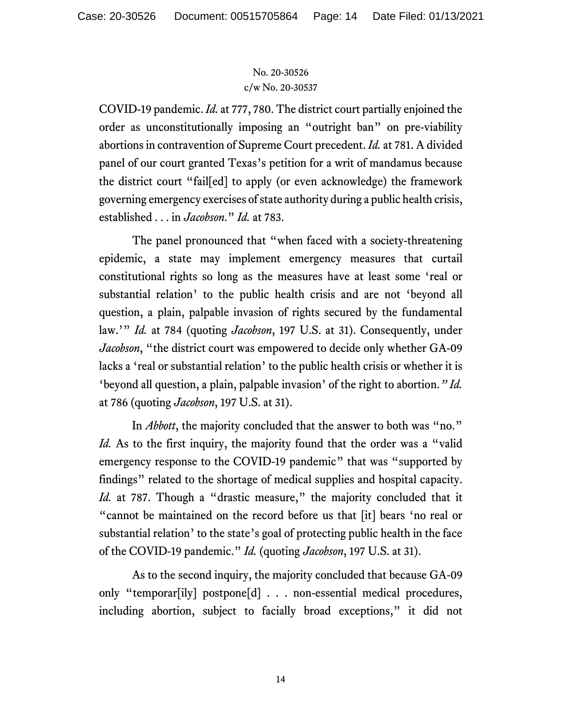COVID-19 pandemic. *Id.* at 777, 780. The district court partially enjoined the order as unconstitutionally imposing an "outright ban" on pre-viability abortions in contravention of Supreme Court precedent. *Id.* at 781. A divided panel of our court granted Texas's petition for a writ of mandamus because the district court "fail[ed] to apply (or even acknowledge) the framework governing emergency exercises of state authority during a public health crisis, established . . . in *Jacobson*." *Id.* at 783.

The panel pronounced that "when faced with a society-threatening epidemic, a state may implement emergency measures that curtail constitutional rights so long as the measures have at least some 'real or substantial relation' to the public health crisis and are not 'beyond all question, a plain, palpable invasion of rights secured by the fundamental law.'" *Id.* at 784 (quoting *Jacobson*, 197 U.S. at 31). Consequently, under *Jacobson*, "the district court was empowered to decide only whether GA-09 lacks a 'real or substantial relation' to the public health crisis or whether it is 'beyond all question, a plain, palpable invasion' of the right to abortion.*" Id.* at 786 (quoting *Jacobson*, 197 U.S. at 31).

In *Abbott*, the majority concluded that the answer to both was "no." *Id.* As to the first inquiry, the majority found that the order was a "valid" emergency response to the COVID-19 pandemic" that was "supported by findings" related to the shortage of medical supplies and hospital capacity. *Id.* at 787. Though a "drastic measure," the majority concluded that it "cannot be maintained on the record before us that [it] bears 'no real or substantial relation' to the state's goal of protecting public health in the face of the COVID-19 pandemic." *Id.* (quoting *Jacobson*, 197 U.S. at 31).

As to the second inquiry, the majority concluded that because GA-09 only "temporar[ily] postpone[d] . . . non-essential medical procedures, including abortion, subject to facially broad exceptions," it did not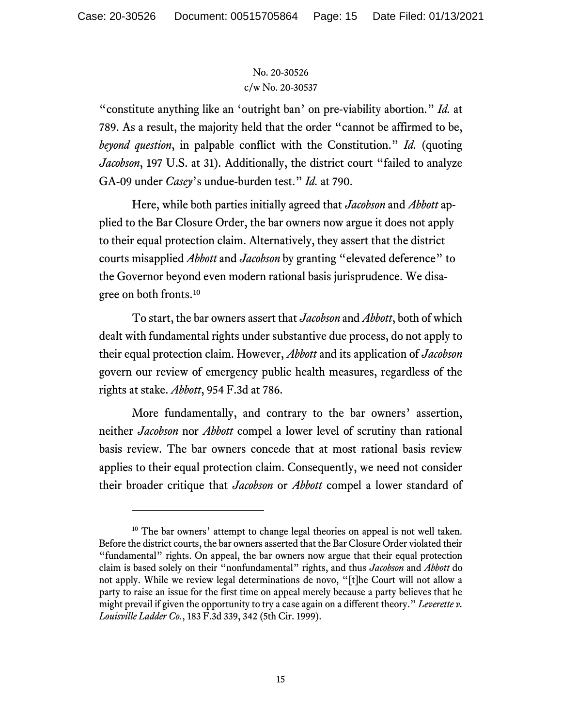"constitute anything like an 'outright ban' on pre-viability abortion." *Id.* at 789. As a result, the majority held that the order "cannot be affirmed to be, *beyond question*, in palpable conflict with the Constitution." *Id.* (quoting *Jacobson*, 197 U.S. at 31). Additionally, the district court "failed to analyze GA-09 under *Casey*'s undue-burden test." *Id.* at 790.

Here, while both parties initially agreed that *Jacobson* and *Abbott* applied to the Bar Closure Order, the bar owners now argue it does not apply to their equal protection claim. Alternatively, they assert that the district courts misapplied *Abbott* and *Jacobson* by granting "elevated deference" to the Governor beyond even modern rational basis jurisprudence. We disagree on both fronts.[10](#page-14-0)

To start, the bar owners assert that *Jacobson* and *Abbott*, both of which dealt with fundamental rights under substantive due process, do not apply to their equal protection claim. However, *Abbott* and its application of *Jacobson* govern our review of emergency public health measures, regardless of the rights at stake. *Abbott*, 954 F.3d at 786.

More fundamentally, and contrary to the bar owners' assertion, neither *Jacobson* nor *Abbott* compel a lower level of scrutiny than rational basis review. The bar owners concede that at most rational basis review applies to their equal protection claim. Consequently, we need not consider their broader critique that *Jacobson* or *Abbott* compel a lower standard of

<span id="page-14-0"></span><sup>&</sup>lt;sup>10</sup> The bar owners' attempt to change legal theories on appeal is not well taken. Before the district courts, the bar owners asserted that the Bar Closure Order violated their "fundamental" rights. On appeal, the bar owners now argue that their equal protection claim is based solely on their "nonfundamental" rights, and thus *Jacobson* and *Abbott* do not apply. While we review legal determinations de novo, "[t]he Court will not allow a party to raise an issue for the first time on appeal merely because a party believes that he might prevail if given the opportunity to try a case again on a different theory." *Leverette v. Louisville Ladder Co.*, 183 F.3d 339, 342 (5th Cir. 1999).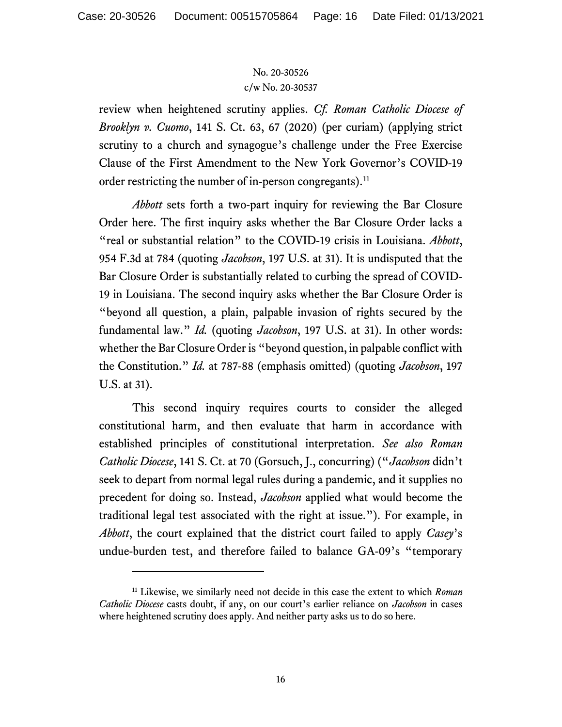review when heightened scrutiny applies. *Cf. Roman Catholic Diocese of Brooklyn v. Cuomo*, 141 S. Ct. 63, 67 (2020) (per curiam) (applying strict scrutiny to a church and synagogue's challenge under the Free Exercise Clause of the First Amendment to the New York Governor's COVID-19 order restricting the number of in-person congregants).<sup>[11](#page-15-0)</sup>

*Abbott* sets forth a two-part inquiry for reviewing the Bar Closure Order here. The first inquiry asks whether the Bar Closure Order lacks a "real or substantial relation" to the COVID-19 crisis in Louisiana. *Abbott*, 954 F.3d at 784 (quoting *Jacobson*, 197 U.S. at 31). It is undisputed that the Bar Closure Order is substantially related to curbing the spread of COVID-19 in Louisiana. The second inquiry asks whether the Bar Closure Order is "beyond all question, a plain, palpable invasion of rights secured by the fundamental law." *Id.* (quoting *Jacobson*, 197 U.S. at 31). In other words: whether the Bar Closure Order is "beyond question, in palpable conflict with the Constitution." *Id.* at 787-88 (emphasis omitted) (quoting *Jacobson*, 197 U.S. at 31).

This second inquiry requires courts to consider the alleged constitutional harm, and then evaluate that harm in accordance with established principles of constitutional interpretation. *See also Roman Catholic Diocese*, 141 S. Ct. at 70 (Gorsuch, J., concurring) ("*Jacobson* didn't seek to depart from normal legal rules during a pandemic, and it supplies no precedent for doing so. Instead, *Jacobson* applied what would become the traditional legal test associated with the right at issue."). For example, in *Abbott*, the court explained that the district court failed to apply *Casey*'s undue-burden test, and therefore failed to balance GA-09's "temporary

<span id="page-15-0"></span><sup>11</sup> Likewise, we similarly need not decide in this case the extent to which *Roman Catholic Diocese* casts doubt, if any, on our court's earlier reliance on *Jacobson* in cases where heightened scrutiny does apply. And neither party asks us to do so here.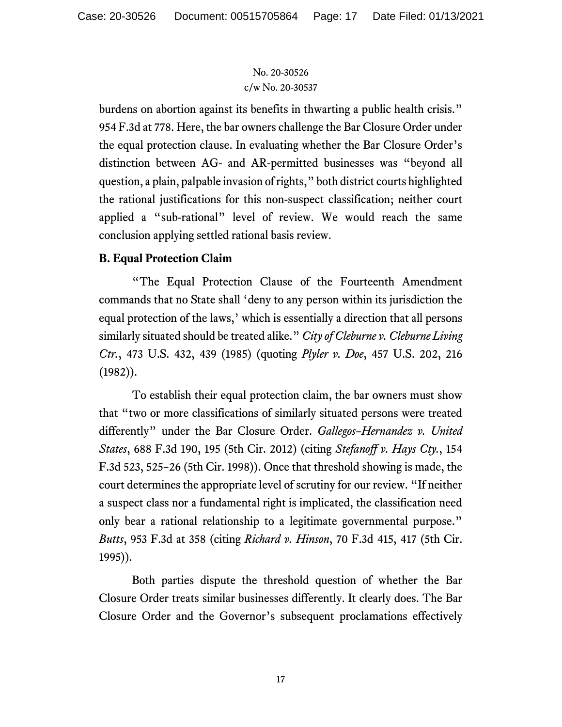burdens on abortion against its benefits in thwarting a public health crisis." 954 F.3d at 778. Here, the bar owners challenge the Bar Closure Order under the equal protection clause. In evaluating whether the Bar Closure Order's distinction between AG- and AR-permitted businesses was "beyond all question, a plain, palpable invasion of rights," both district courts highlighted the rational justifications for this non-suspect classification; neither court applied a "sub-rational" level of review. We would reach the same conclusion applying settled rational basis review.

# **B. Equal Protection Claim**

"The Equal Protection Clause of the Fourteenth Amendment commands that no State shall 'deny to any person within its jurisdiction the equal protection of the laws,' which is essentially a direction that all persons similarly situated should be treated alike." *City of Cleburne v. Cleburne Living Ctr.*, 473 U.S. 432, 439 (1985) (quoting *Plyler v. Doe*, 457 U.S. 202, 216 (1982)).

To establish their equal protection claim, the bar owners must show that "two or more classifications of similarly situated persons were treated differently" under the Bar Closure Order. *Gallegos–Hernandez v. United States*, 688 F.3d 190, 195 (5th Cir. 2012) (citing *Stefanoff v. Hays Cty.*, 154 F.3d 523, 525–26 (5th Cir. 1998)). Once that threshold showing is made, the court determines the appropriate level of scrutiny for our review. "If neither a suspect class nor a fundamental right is implicated, the classification need only bear a rational relationship to a legitimate governmental purpose." *Butts*, 953 F.3d at 358 (citing *Richard v. Hinson*, 70 F.3d 415, 417 (5th Cir. 1995)).

Both parties dispute the threshold question of whether the Bar Closure Order treats similar businesses differently. It clearly does. The Bar Closure Order and the Governor's subsequent proclamations effectively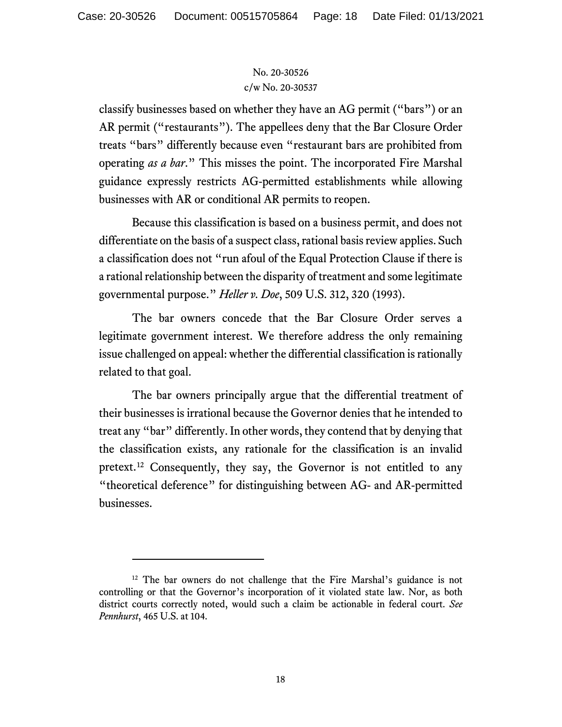classify businesses based on whether they have an AG permit ("bars") or an AR permit ("restaurants"). The appellees deny that the Bar Closure Order treats "bars" differently because even "restaurant bars are prohibited from operating *as a bar*." This misses the point. The incorporated Fire Marshal guidance expressly restricts AG-permitted establishments while allowing businesses with AR or conditional AR permits to reopen.

Because this classification is based on a business permit, and does not differentiate on the basis of a suspect class, rational basis review applies. Such a classification does not "run afoul of the Equal Protection Clause if there is a rational relationship between the disparity of treatment and some legitimate governmental purpose." *Heller v. Doe*, 509 U.S. 312, 320 (1993).

The bar owners concede that the Bar Closure Order serves a legitimate government interest. We therefore address the only remaining issue challenged on appeal: whether the differential classification is rationally related to that goal.

The bar owners principally argue that the differential treatment of their businesses is irrational because the Governor denies that he intended to treat any "bar" differently. In other words, they contend that by denying that the classification exists, any rationale for the classification is an invalid pretext.[12](#page-17-0) Consequently, they say, the Governor is not entitled to any "theoretical deference" for distinguishing between AG- and AR-permitted businesses.

<span id="page-17-0"></span><sup>&</sup>lt;sup>12</sup> The bar owners do not challenge that the Fire Marshal's guidance is not controlling or that the Governor's incorporation of it violated state law. Nor, as both district courts correctly noted, would such a claim be actionable in federal court. *See Pennhurst*, 465 U.S. at 104.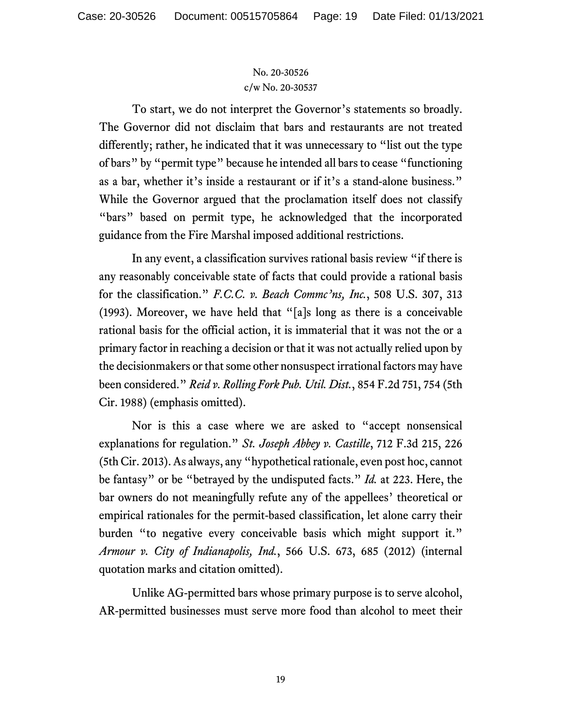To start, we do not interpret the Governor's statements so broadly. The Governor did not disclaim that bars and restaurants are not treated differently; rather, he indicated that it was unnecessary to "list out the type of bars" by "permit type" because he intended all bars to cease "functioning as a bar, whether it's inside a restaurant or if it's a stand-alone business." While the Governor argued that the proclamation itself does not classify "bars" based on permit type, he acknowledged that the incorporated guidance from the Fire Marshal imposed additional restrictions.

In any event, a classification survives rational basis review "if there is any reasonably conceivable state of facts that could provide a rational basis for the classification." *F.C.C. v. Beach Commc'ns, Inc.*, 508 U.S. 307, 313 (1993). Moreover, we have held that "[a]s long as there is a conceivable rational basis for the official action, it is immaterial that it was not the or a primary factor in reaching a decision or that it was not actually relied upon by the decisionmakers or that some other nonsuspect irrational factors may have been considered." *Reid v. Rolling Fork Pub. Util. Dist.*, 854 F.2d 751, 754 (5th Cir. 1988) (emphasis omitted).

Nor is this a case where we are asked to "accept nonsensical explanations for regulation." *St. Joseph Abbey v. Castille*, 712 F.3d 215, 226 (5th Cir. 2013).As always, any "hypothetical rationale, even post hoc, cannot be fantasy" or be "betrayed by the undisputed facts." *Id.* at 223. Here, the bar owners do not meaningfully refute any of the appellees' theoretical or empirical rationales for the permit-based classification, let alone carry their burden "to negative every conceivable basis which might support it." *Armour v. City of Indianapolis, Ind.*, 566 U.S. 673, 685 (2012) (internal quotation marks and citation omitted).

Unlike AG-permitted bars whose primary purpose is to serve alcohol, AR-permitted businesses must serve more food than alcohol to meet their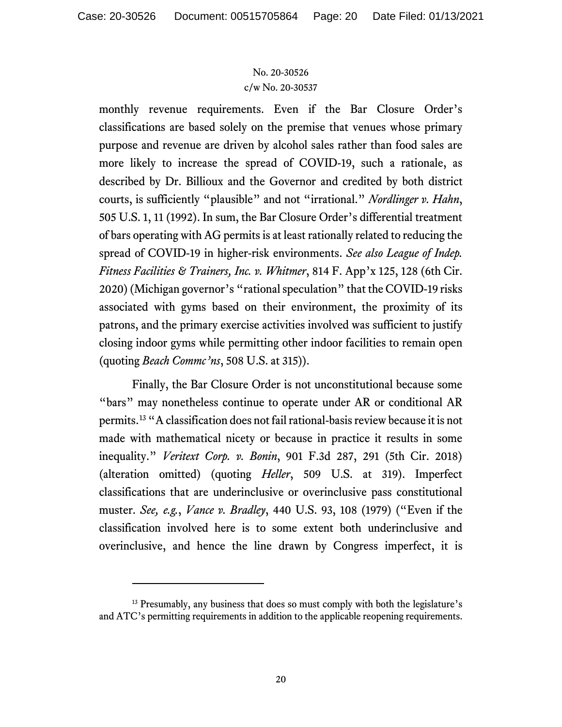monthly revenue requirements. Even if the Bar Closure Order's classifications are based solely on the premise that venues whose primary purpose and revenue are driven by alcohol sales rather than food sales are more likely to increase the spread of COVID-19, such a rationale, as described by Dr. Billioux and the Governor and credited by both district courts, is sufficiently "plausible" and not "irrational." *Nordlinger v. Hahn*, 505 U.S. 1, 11 (1992). In sum, the Bar Closure Order's differential treatment of bars operating with AG permits is at least rationally related to reducing the spread of COVID-19 in higher-risk environments. *See also League of Indep. Fitness Facilities & Trainers, Inc. v. Whitmer*, 814 F. App'x 125, 128 (6th Cir. 2020) (Michigan governor's "rational speculation" that the COVID-19 risks associated with gyms based on their environment, the proximity of its patrons, and the primary exercise activities involved was sufficient to justify closing indoor gyms while permitting other indoor facilities to remain open (quoting *Beach Commc'ns*, 508 U.S. at 315)).

Finally, the Bar Closure Order is not unconstitutional because some "bars" may nonetheless continue to operate under AR or conditional AR permits. [13](#page-19-0) "A classification does not fail rational-basis review because it is not made with mathematical nicety or because in practice it results in some inequality." *Veritext Corp. v. Bonin*, 901 F.3d 287, 291 (5th Cir. 2018) (alteration omitted) (quoting *Heller*, 509 U.S. at 319). Imperfect classifications that are underinclusive or overinclusive pass constitutional muster. *See, e.g.*, *Vance v. Bradley*, 440 U.S. 93, 108 (1979) ("Even if the classification involved here is to some extent both underinclusive and overinclusive, and hence the line drawn by Congress imperfect, it is

<span id="page-19-0"></span><sup>&</sup>lt;sup>13</sup> Presumably, any business that does so must comply with both the legislature's and ATC's permitting requirements in addition to the applicable reopening requirements.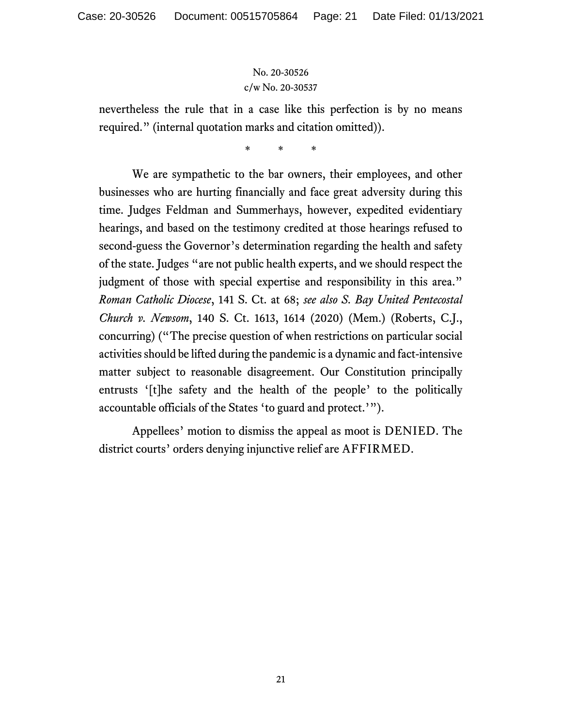nevertheless the rule that in a case like this perfection is by no means required." (internal quotation marks and citation omitted)).

\* \* \*

We are sympathetic to the bar owners, their employees, and other businesses who are hurting financially and face great adversity during this time. Judges Feldman and Summerhays, however, expedited evidentiary hearings, and based on the testimony credited at those hearings refused to second-guess the Governor's determination regarding the health and safety of the state. Judges "are not public health experts, and we should respect the judgment of those with special expertise and responsibility in this area." *Roman Catholic Diocese*, 141 S. Ct. at 68; *see also S. Bay United Pentecostal Church v. Newsom*, 140 S. Ct. 1613, 1614 (2020) (Mem.) (Roberts, C.J., concurring) ("The precise question of when restrictions on particular social activities should be lifted during the pandemic is a dynamic and fact-intensive matter subject to reasonable disagreement. Our Constitution principally entrusts '[t]he safety and the health of the people' to the politically accountable officials of the States 'to guard and protect.'").

Appellees' motion to dismiss the appeal as moot is DENIED. The district courts' orders denying injunctive relief are AFFIRMED.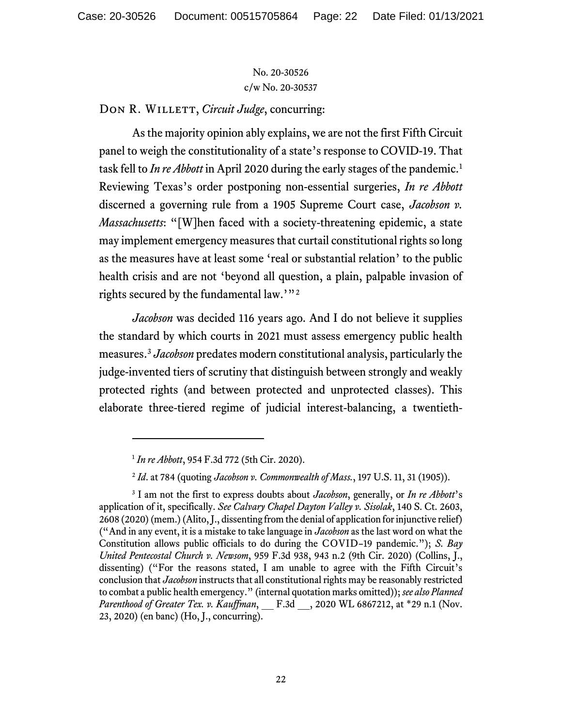DON R. WILLETT, *Circuit Judge*, concurring:

As the majority opinion ably explains, we are not the first Fifth Circuit panel to weigh the constitutionality of a state's response to COVID-19. That task fell to *In re Abbott* in April 2020 during the early stages of the pandemic.<sup>[1](#page-21-0)</sup> Reviewing Texas's order postponing non-essential surgeries, *In re Abbott* discerned a governing rule from a 1905 Supreme Court case, *Jacobson v. Massachusetts*: "[W]hen faced with a society-threatening epidemic, a state may implement emergency measures that curtail constitutional rights so long as the measures have at least some 'real or substantial relation' to the public health crisis and are not 'beyond all question, a plain, palpable invasion of rights secured by the fundamental law.'"[2](#page-21-1)

*Jacobson* was decided 116 years ago. And I do not believe it supplies the standard by which courts in 2021 must assess emergency public health measures.[3](#page-21-2) *Jacobson* predates modern constitutional analysis, particularly the judge-invented tiers of scrutiny that distinguish between strongly and weakly protected rights (and between protected and unprotected classes). This elaborate three-tiered regime of judicial interest-balancing, a twentieth-

<sup>1</sup> *In re Abbott*, 954 F.3d 772 (5th Cir. 2020).

<sup>2</sup> *Id*. at 784 (quoting *Jacobson v. Commonwealth of Mass.*, 197 U.S. 11, 31 (1905)).

<span id="page-21-2"></span><span id="page-21-1"></span><span id="page-21-0"></span><sup>3</sup> I am not the first to express doubts about *Jacobson*, generally, or *In re Abbott*'s application of it, specifically. *See Calvary Chapel Dayton Valley v. Sisolak*, 140 S. Ct. 2603, 2608 (2020) (mem.) (Alito, J., dissenting from the denial of application for injunctive relief) ("And in any event, it is a mistake to take language in *Jacobson* as the last word on what the Constitution allows public officials to do during the COVID–19 pandemic."); *S. Bay United Pentecostal Church v. Newsom*, 959 F.3d 938, 943 n.2 (9th Cir. 2020) (Collins, J., dissenting) ("For the reasons stated, I am unable to agree with the Fifth Circuit's conclusion that *Jacobson* instructs that all constitutional rights may be reasonably restricted to combat a public health emergency." (internal quotation marks omitted)); *see also Planned Parenthood of Greater Tex. v. Kauffman*, \_\_ F.3d \_\_, 2020 WL 6867212, at \*29 n.1 (Nov. 23, 2020) (en banc) (Ho, J., concurring).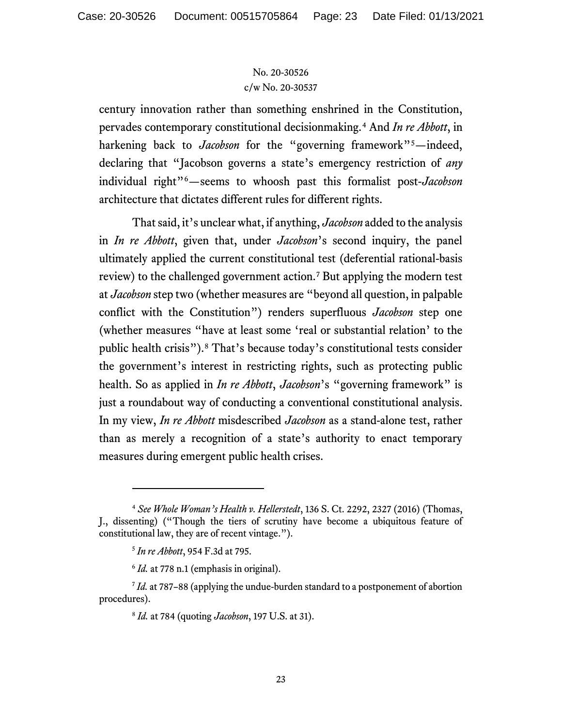century innovation rather than something enshrined in the Constitution, pervades contemporary constitutional decisionmaking.[4](#page-22-0) And *In re Abbott*, in harkening back to Jacobson for the "governing framework"<sup>[5](#page-22-1)</sup>—indeed, declaring that "Jacobson governs a state's emergency restriction of *any* individual right"[6](#page-22-2)—seems to whoosh past this formalist post-*Jacobson* architecture that dictates different rules for different rights.

That said, it's unclear what, if anything, *Jacobson* added to the analysis in *In re Abbott*, given that, under *Jacobson*'s second inquiry, the panel ultimately applied the current constitutional test (deferential rational-basis review) to the challenged government action.<sup>[7](#page-22-3)</sup> But applying the modern test at *Jacobson* step two (whether measures are "beyond all question, in palpable conflict with the Constitution") renders superfluous *Jacobson* step one (whether measures "have at least some 'real or substantial relation' to the public health crisis").[8](#page-22-4) That's because today's constitutional tests consider the government's interest in restricting rights, such as protecting public health. So as applied in *In re Abbott*, *Jacobson*'s "governing framework" is just a roundabout way of conducting a conventional constitutional analysis. In my view, *In re Abbott* misdescribed *Jacobson* as a stand-alone test, rather than as merely a recognition of a state's authority to enact temporary measures during emergent public health crises.

<span id="page-22-0"></span><sup>4</sup> *See Whole Woman's Health v. Hellerstedt*, 136 S. Ct. 2292, 2327 (2016) (Thomas, J., dissenting) ("Though the tiers of scrutiny have become a ubiquitous feature of constitutional law, they are of recent vintage.").

<sup>5</sup> *In re Abbott*, 954 F.3d at 795.

<sup>&</sup>lt;sup>6</sup> *Id.* at 778 n.1 (emphasis in original).

<span id="page-22-4"></span><span id="page-22-3"></span><span id="page-22-2"></span><span id="page-22-1"></span><sup>7</sup> *Id.* at 787–88 (applying the undue-burden standard to a postponement of abortion procedures).

<sup>8</sup> *Id.* at 784 (quoting *Jacobson*, 197 U.S. at 31).